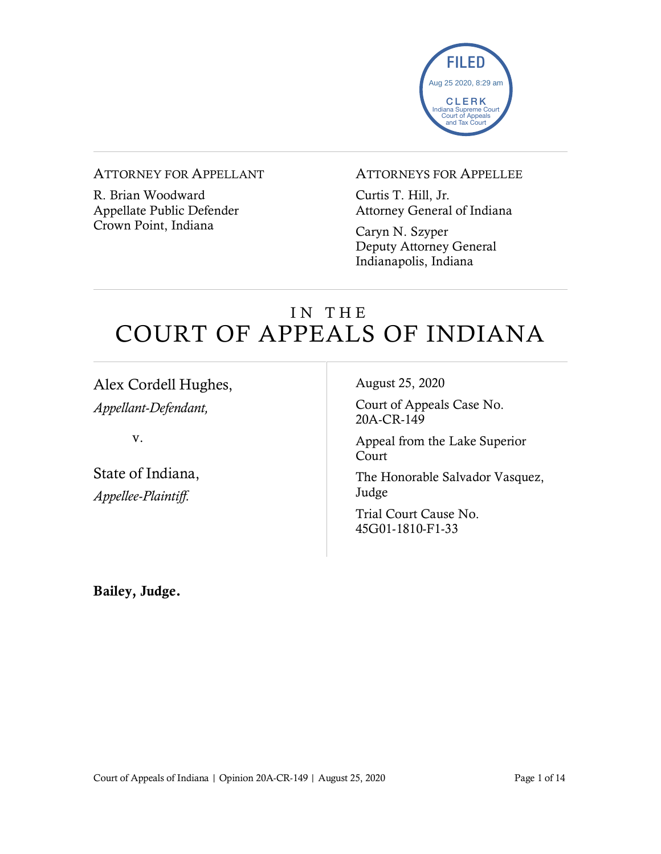

#### ATTORNEY FOR APPELLANT

R. Brian Woodward Appellate Public Defender Crown Point, Indiana

#### ATTORNEYS FOR APPELLEE

Curtis T. Hill, Jr. Attorney General of Indiana

Caryn N. Szyper Deputy Attorney General Indianapolis, Indiana

## IN THE COURT OF APPEALS OF INDIANA

Alex Cordell Hughes, *Appellant-Defendant,*

v.

State of Indiana, *Appellee-Plaintiff.*

August 25, 2020

Court of Appeals Case No. 20A-CR-149

Appeal from the Lake Superior Court

The Honorable Salvador Vasquez, Judge

Trial Court Cause No. 45G01-1810-F1-33

Bailey, Judge.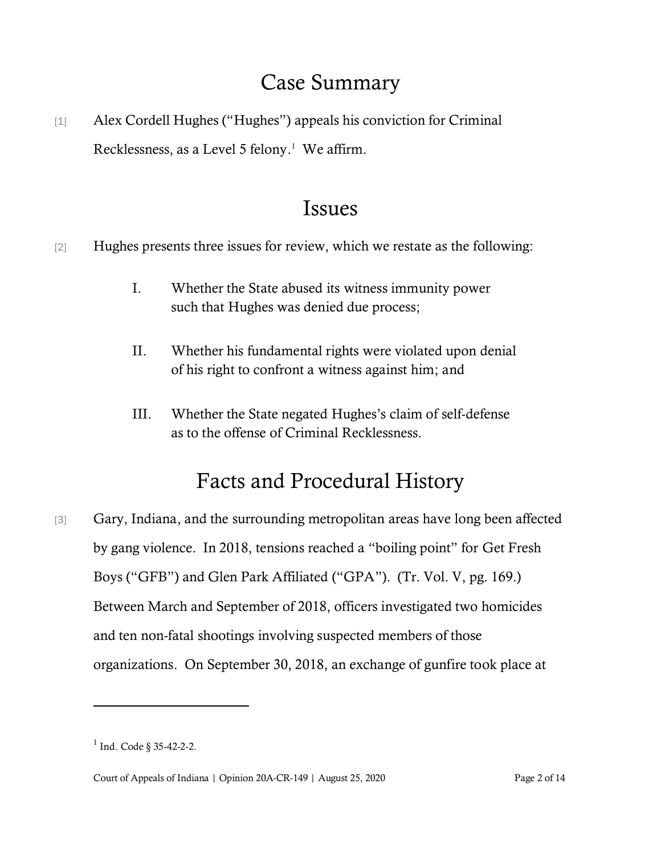## Case Summary

[1] Alex Cordell Hughes ("Hughes") appeals his conviction for Criminal Recklessness, as a Level 5 felony.<sup>1</sup> We affirm.

## Issues

[2] Hughes presents three issues for review, which we restate as the following:

- I. Whether the State abused its witness immunity power such that Hughes was denied due process;
- II. Whether his fundamental rights were violated upon denial of his right to confront a witness against him; and
- III. Whether the State negated Hughes's claim of self-defense as to the offense of Criminal Recklessness.

# Facts and Procedural History

[3] Gary, Indiana, and the surrounding metropolitan areas have long been affected by gang violence. In 2018, tensions reached a "boiling point" for Get Fresh Boys ("GFB") and Glen Park Affiliated ("GPA"). (Tr. Vol. V, pg. 169.) Between March and September of 2018, officers investigated two homicides and ten non-fatal shootings involving suspected members of those organizations. On September 30, 2018, an exchange of gunfire took place at

 $1$  Ind. Code § 35-42-2-2.

Court of Appeals of Indiana | Opinion 20A-CR-149 | August 25, 2020 Page 2 of 14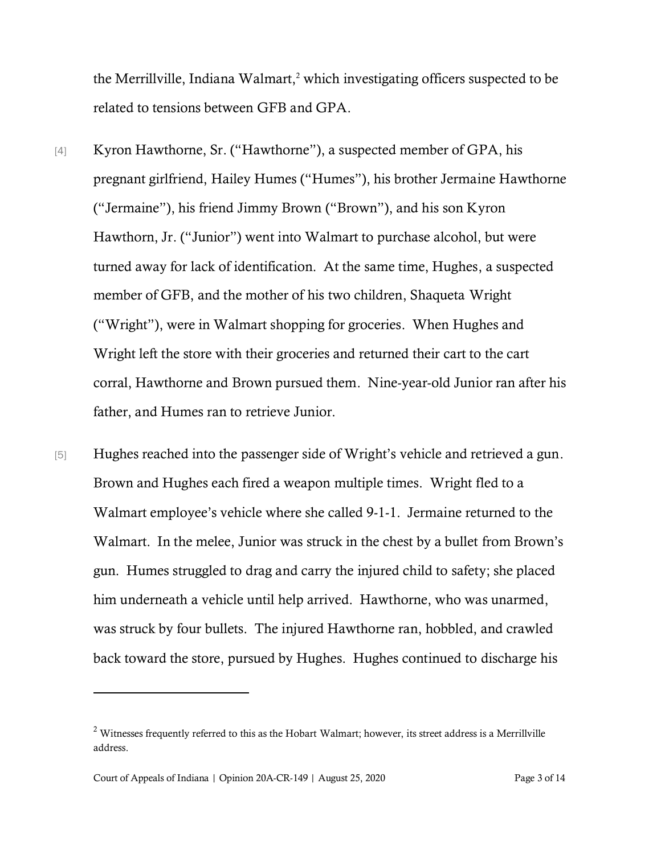the Merrillville, Indiana Walmart, <sup>2</sup> which investigating officers suspected to be related to tensions between GFB and GPA.

- [4] Kyron Hawthorne, Sr. ("Hawthorne"), a suspected member of GPA, his pregnant girlfriend, Hailey Humes ("Humes"), his brother Jermaine Hawthorne ("Jermaine"), his friend Jimmy Brown ("Brown"), and his son Kyron Hawthorn, Jr. ("Junior") went into Walmart to purchase alcohol, but were turned away for lack of identification. At the same time, Hughes, a suspected member of GFB, and the mother of his two children, Shaqueta Wright ("Wright"), were in Walmart shopping for groceries. When Hughes and Wright left the store with their groceries and returned their cart to the cart corral, Hawthorne and Brown pursued them. Nine-year-old Junior ran after his father, and Humes ran to retrieve Junior.
- [5] Hughes reached into the passenger side of Wright's vehicle and retrieved a gun. Brown and Hughes each fired a weapon multiple times. Wright fled to a Walmart employee's vehicle where she called 9-1-1. Jermaine returned to the Walmart. In the melee, Junior was struck in the chest by a bullet from Brown's gun. Humes struggled to drag and carry the injured child to safety; she placed him underneath a vehicle until help arrived. Hawthorne, who was unarmed, was struck by four bullets. The injured Hawthorne ran, hobbled, and crawled back toward the store, pursued by Hughes. Hughes continued to discharge his

 $2$  Witnesses frequently referred to this as the Hobart Walmart; however, its street address is a Merrillville address.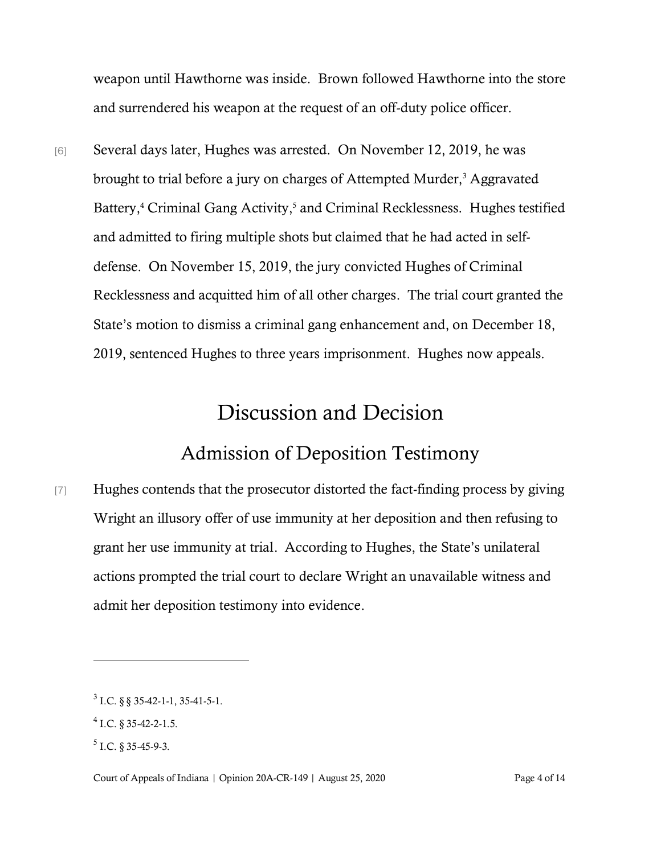weapon until Hawthorne was inside. Brown followed Hawthorne into the store and surrendered his weapon at the request of an off-duty police officer.

[6] Several days later, Hughes was arrested. On November 12, 2019, he was brought to trial before a jury on charges of Attempted Murder,<sup>3</sup> Aggravated Battery,<sup>4</sup> Criminal Gang Activity,<sup>5</sup> and Criminal Recklessness. Hughes testified and admitted to firing multiple shots but claimed that he had acted in selfdefense. On November 15, 2019, the jury convicted Hughes of Criminal Recklessness and acquitted him of all other charges. The trial court granted the State's motion to dismiss a criminal gang enhancement and, on December 18, 2019, sentenced Hughes to three years imprisonment. Hughes now appeals.

### Discussion and Decision

#### Admission of Deposition Testimony

[7] Hughes contends that the prosecutor distorted the fact-finding process by giving Wright an illusory offer of use immunity at her deposition and then refusing to grant her use immunity at trial. According to Hughes, the State's unilateral actions prompted the trial court to declare Wright an unavailable witness and admit her deposition testimony into evidence.

 $3$  I.C. § § 35-42-1-1, 35-41-5-1.

 $4$  I.C. § 35-42-2-1.5.

 $<sup>5</sup>$  I.C. § 35-45-9-3.</sup>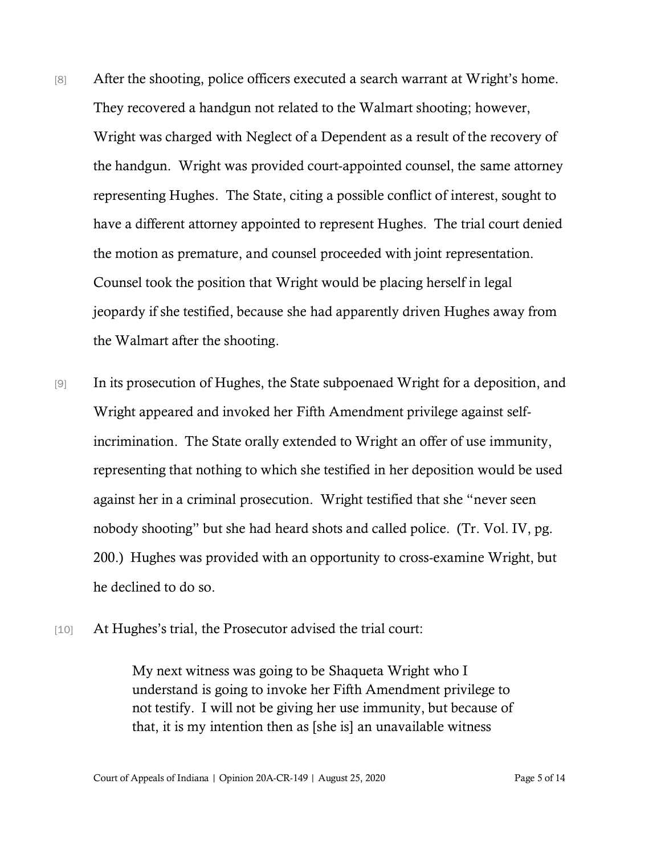- [8] After the shooting, police officers executed a search warrant at Wright's home. They recovered a handgun not related to the Walmart shooting; however, Wright was charged with Neglect of a Dependent as a result of the recovery of the handgun. Wright was provided court-appointed counsel, the same attorney representing Hughes. The State, citing a possible conflict of interest, sought to have a different attorney appointed to represent Hughes. The trial court denied the motion as premature, and counsel proceeded with joint representation. Counsel took the position that Wright would be placing herself in legal jeopardy if she testified, because she had apparently driven Hughes away from the Walmart after the shooting.
- [9] In its prosecution of Hughes, the State subpoenaed Wright for a deposition, and Wright appeared and invoked her Fifth Amendment privilege against selfincrimination. The State orally extended to Wright an offer of use immunity, representing that nothing to which she testified in her deposition would be used against her in a criminal prosecution. Wright testified that she "never seen nobody shooting" but she had heard shots and called police. (Tr. Vol. IV, pg. 200.) Hughes was provided with an opportunity to cross-examine Wright, but he declined to do so.
- [10] At Hughes's trial, the Prosecutor advised the trial court:

My next witness was going to be Shaqueta Wright who I understand is going to invoke her Fifth Amendment privilege to not testify. I will not be giving her use immunity, but because of that, it is my intention then as [she is] an unavailable witness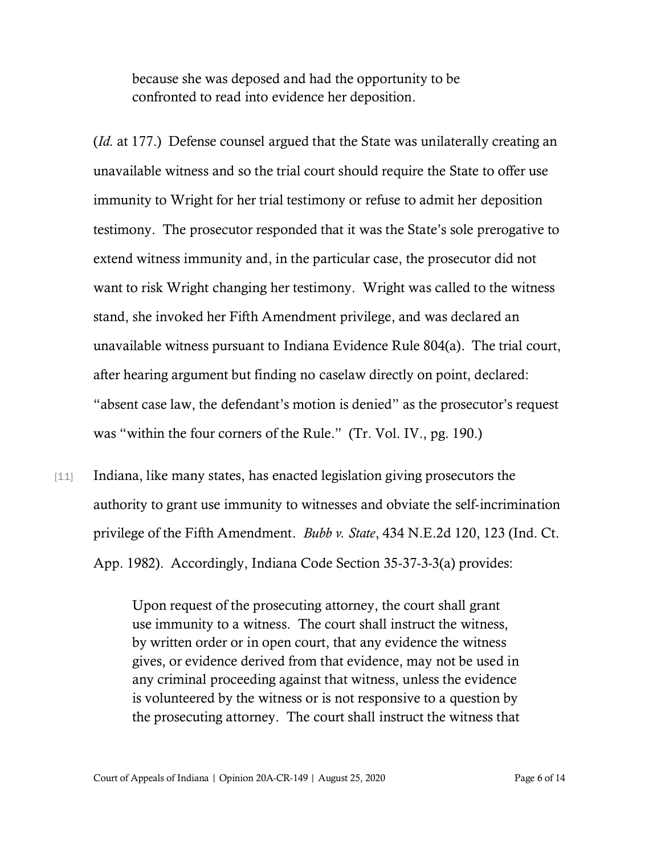because she was deposed and had the opportunity to be confronted to read into evidence her deposition.

(*Id.* at 177.) Defense counsel argued that the State was unilaterally creating an unavailable witness and so the trial court should require the State to offer use immunity to Wright for her trial testimony or refuse to admit her deposition testimony. The prosecutor responded that it was the State's sole prerogative to extend witness immunity and, in the particular case, the prosecutor did not want to risk Wright changing her testimony. Wright was called to the witness stand, she invoked her Fifth Amendment privilege, and was declared an unavailable witness pursuant to Indiana Evidence Rule 804(a). The trial court, after hearing argument but finding no caselaw directly on point, declared: "absent case law, the defendant's motion is denied" as the prosecutor's request was "within the four corners of the Rule." (Tr. Vol. IV., pg. 190.)

[11] Indiana, like many states, has enacted legislation giving prosecutors the authority to grant use immunity to witnesses and obviate the self-incrimination privilege of the Fifth Amendment. *Bubb v. State*, 434 N.E.2d 120, 123 (Ind. Ct. App. 1982). Accordingly, Indiana Code Section 35-37-3-3(a) provides:

> Upon request of the prosecuting attorney, the court shall grant use immunity to a witness. The court shall instruct the witness, by written order or in open court, that any evidence the witness gives, or evidence derived from that evidence, may not be used in any criminal proceeding against that witness, unless the evidence is volunteered by the witness or is not responsive to a question by the prosecuting attorney. The court shall instruct the witness that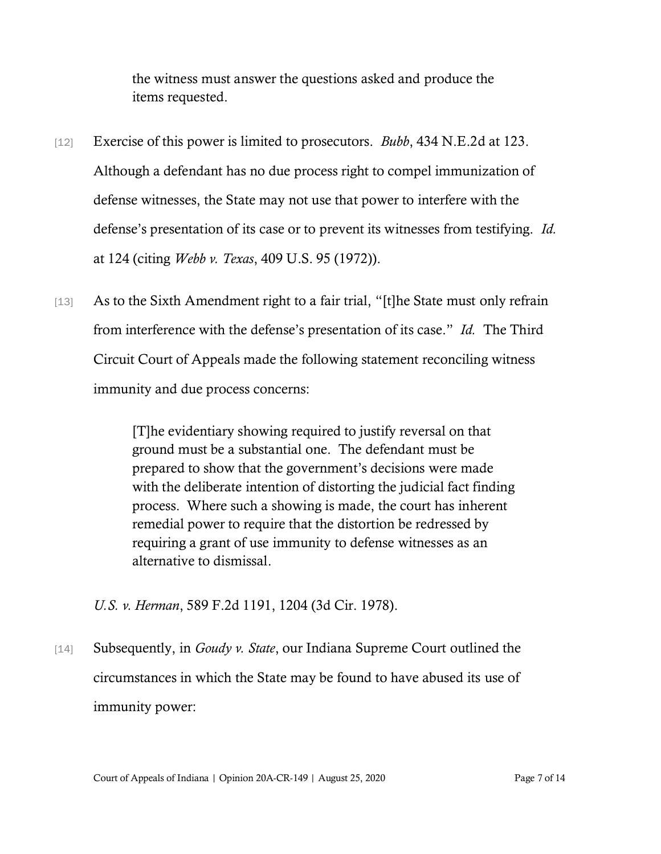the witness must answer the questions asked and produce the items requested.

- [12] Exercise of this power is limited to prosecutors. *Bubb*, 434 N.E.2d at 123. Although a defendant has no due process right to compel immunization of defense witnesses, the State may not use that power to interfere with the defense's presentation of its case or to prevent its witnesses from testifying. *Id.* at 124 (citing *Webb v. Texas*, 409 U.S. 95 (1972)).
- [13] As to the Sixth Amendment right to a fair trial, "[t]he State must only refrain from interference with the defense's presentation of its case." *Id.* The Third Circuit Court of Appeals made the following statement reconciling witness immunity and due process concerns:

[T]he evidentiary showing required to justify reversal on that ground must be a substantial one. The defendant must be prepared to show that the government's decisions were made with the deliberate intention of distorting the judicial fact finding process. Where such a showing is made, the court has inherent remedial power to require that the distortion be redressed by requiring a grant of use immunity to defense witnesses as an alternative to dismissal.

*U.S. v. Herman*, 589 F.2d 1191, 1204 (3d Cir. 1978).

[14] Subsequently, in *Goudy v. State*, our Indiana Supreme Court outlined the circumstances in which the State may be found to have abused its use of immunity power: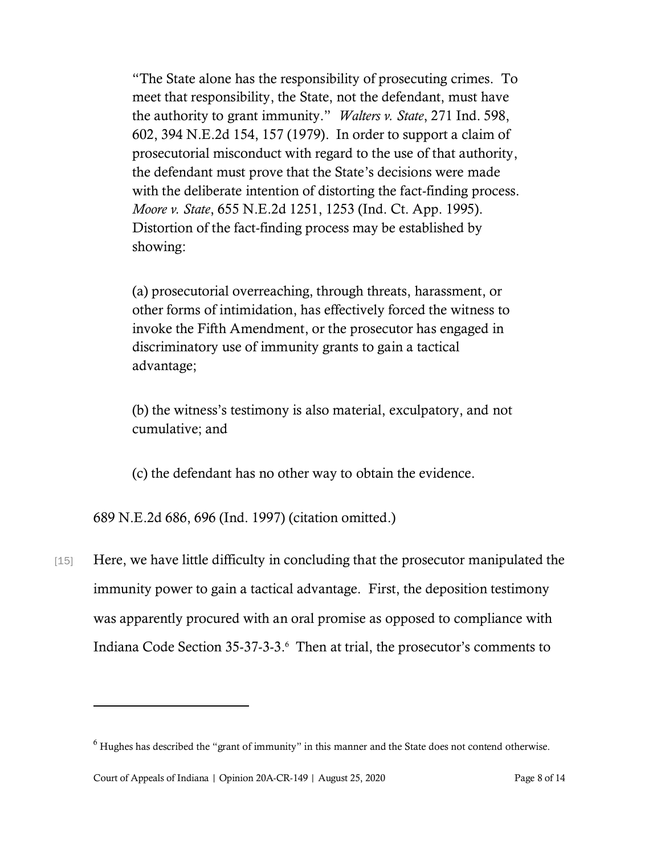"The State alone has the responsibility of prosecuting crimes. To meet that responsibility, the State, not the defendant, must have the authority to grant immunity." *Walters v. State*, 271 Ind. 598, 602, 394 N.E.2d 154, 157 (1979). In order to support a claim of prosecutorial misconduct with regard to the use of that authority, the defendant must prove that the State's decisions were made with the deliberate intention of distorting the fact-finding process. *Moore v. State*, 655 N.E.2d 1251, 1253 (Ind. Ct. App. 1995). Distortion of the fact-finding process may be established by showing:

(a) prosecutorial overreaching, through threats, harassment, or other forms of intimidation, has effectively forced the witness to invoke the Fifth Amendment, or the prosecutor has engaged in discriminatory use of immunity grants to gain a tactical advantage;

(b) the witness's testimony is also material, exculpatory, and not cumulative; and

(c) the defendant has no other way to obtain the evidence.

689 N.E.2d 686, 696 (Ind. 1997) (citation omitted.)

[15] Here, we have little difficulty in concluding that the prosecutor manipulated the immunity power to gain a tactical advantage. First, the deposition testimony was apparently procured with an oral promise as opposed to compliance with Indiana Code Section 35-37-3-3. 6 Then at trial, the prosecutor's comments to

<sup>6</sup> Hughes has described the "grant of immunity" in this manner and the State does not contend otherwise.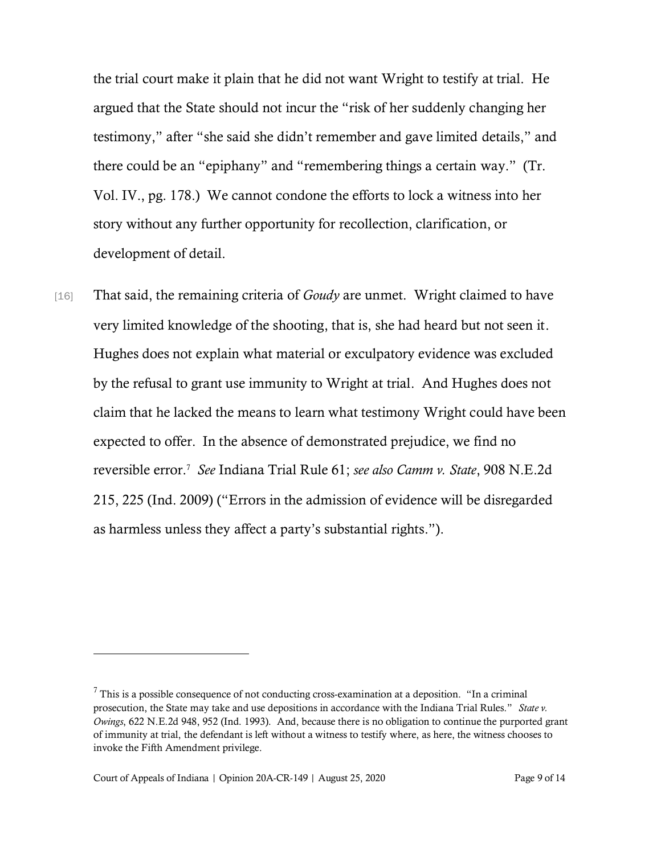the trial court make it plain that he did not want Wright to testify at trial. He argued that the State should not incur the "risk of her suddenly changing her testimony," after "she said she didn't remember and gave limited details," and there could be an "epiphany" and "remembering things a certain way." (Tr. Vol. IV., pg. 178.) We cannot condone the efforts to lock a witness into her story without any further opportunity for recollection, clarification, or development of detail.

[16] That said, the remaining criteria of *Goudy* are unmet. Wright claimed to have very limited knowledge of the shooting, that is, she had heard but not seen it. Hughes does not explain what material or exculpatory evidence was excluded by the refusal to grant use immunity to Wright at trial. And Hughes does not claim that he lacked the means to learn what testimony Wright could have been expected to offer. In the absence of demonstrated prejudice, we find no reversible error.<sup>7</sup> *See* Indiana Trial Rule 61; *see also Camm v. State*, 908 N.E.2d 215, 225 (Ind. 2009) ("Errors in the admission of evidence will be disregarded as harmless unless they affect a party's substantial rights.").

 $7$  This is a possible consequence of not conducting cross-examination at a deposition. "In a criminal prosecution, the State may take and use depositions in accordance with the Indiana Trial Rules." *State v. Owings*, 622 N.E.2d 948, 952 (Ind. 1993). And, because there is no obligation to continue the purported grant of immunity at trial, the defendant is left without a witness to testify where, as here, the witness chooses to invoke the Fifth Amendment privilege.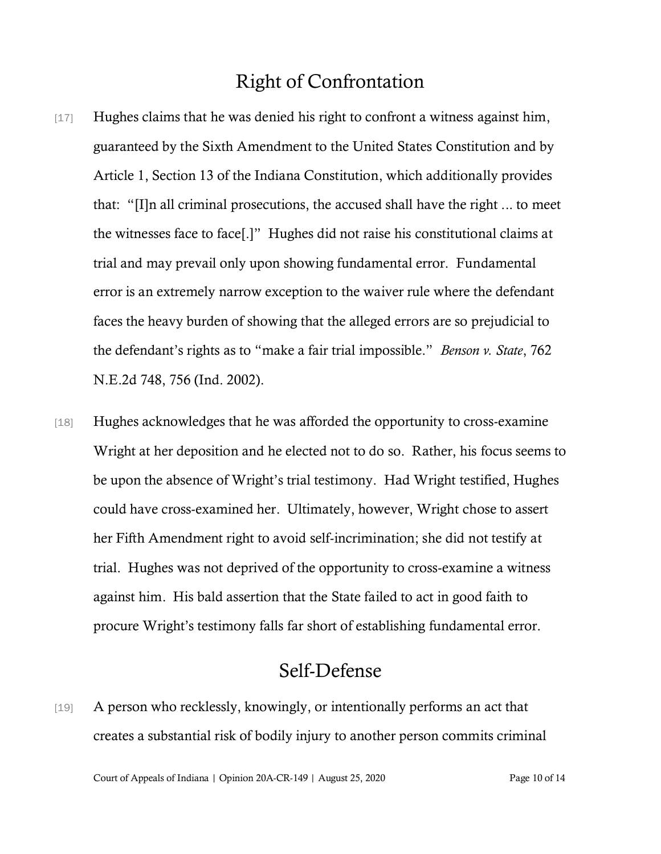#### Right of Confrontation

- [17] Hughes claims that he was denied his right to confront a witness against him, guaranteed by the Sixth Amendment to the United States Constitution and by Article 1, Section 13 of the Indiana Constitution, which additionally provides that: "[I]n all criminal prosecutions, the accused shall have the right ... to meet the witnesses face to face[.]" Hughes did not raise his constitutional claims at trial and may prevail only upon showing fundamental error. Fundamental error is an extremely narrow exception to the waiver rule where the defendant faces the heavy burden of showing that the alleged errors are so prejudicial to the defendant's rights as to "make a fair trial impossible." *Benson v. State*, 762 N.E.2d 748, 756 (Ind. 2002).
- [18] Hughes acknowledges that he was afforded the opportunity to cross-examine Wright at her deposition and he elected not to do so. Rather, his focus seems to be upon the absence of Wright's trial testimony. Had Wright testified, Hughes could have cross-examined her. Ultimately, however, Wright chose to assert her Fifth Amendment right to avoid self-incrimination; she did not testify at trial. Hughes was not deprived of the opportunity to cross-examine a witness against him. His bald assertion that the State failed to act in good faith to procure Wright's testimony falls far short of establishing fundamental error.

#### Self-Defense

[19] A person who recklessly, knowingly, or intentionally performs an act that creates a substantial risk of bodily injury to another person commits criminal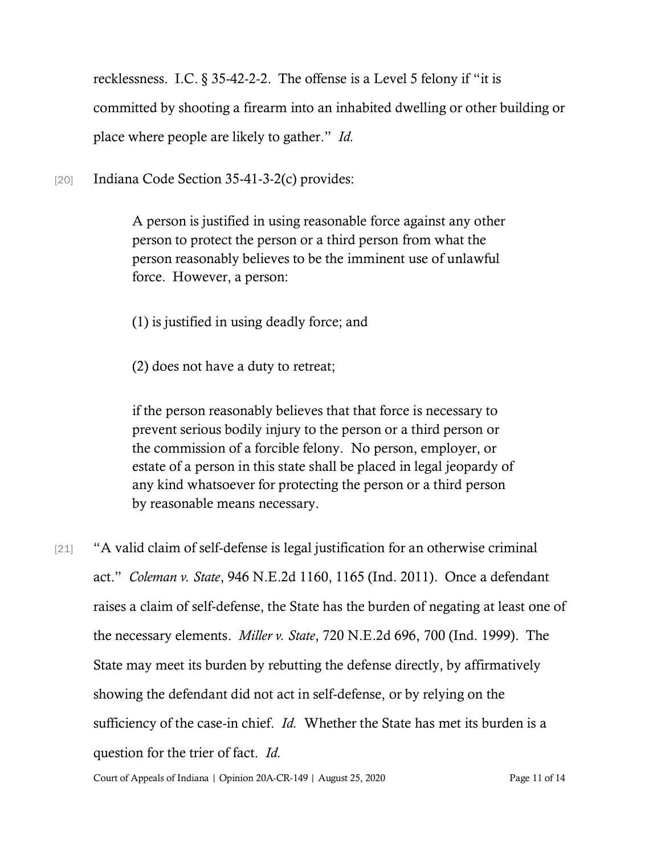recklessness. I.C. § 35-42-2-2. The offense is a Level 5 felony if "it is committed by shooting a firearm into an inhabited dwelling or other building or place where people are likely to gather." *Id.*

[20] Indiana Code Section 35-41-3-2(c) provides:

A person is justified in using reasonable force against any other person to protect the person or a third person from what the person reasonably believes to be the imminent use of unlawful force. However, a person:

- (1) is justified in using deadly force; and
- (2) does not have a duty to retreat;

if the person reasonably believes that that force is necessary to prevent serious bodily injury to the person or a third person or the commission of a forcible felony. No person, employer, or estate of a person in this state shall be placed in legal jeopardy of any kind whatsoever for protecting the person or a third person by reasonable means necessary.

[21] "A valid claim of self-defense is legal justification for an otherwise criminal act." *Coleman v. State*, 946 N.E.2d 1160, 1165 (Ind. 2011). Once a defendant raises a claim of self-defense, the State has the burden of negating at least one of the necessary elements. *Miller v. State*, 720 N.E.2d 696, 700 (Ind. 1999). The State may meet its burden by rebutting the defense directly, by affirmatively showing the defendant did not act in self-defense, or by relying on the sufficiency of the case-in chief. *Id.* Whether the State has met its burden is a question for the trier of fact. *Id.*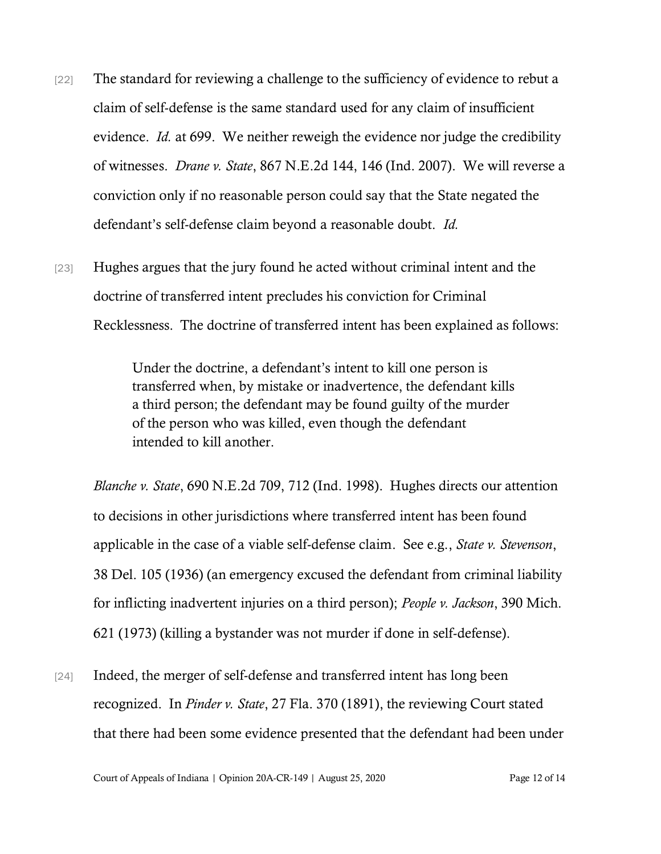- [22] The standard for reviewing a challenge to the sufficiency of evidence to rebut a claim of self-defense is the same standard used for any claim of insufficient evidence. *Id.* at 699. We neither reweigh the evidence nor judge the credibility of witnesses. *Drane v. State*, 867 N.E.2d 144, 146 (Ind. 2007). We will reverse a conviction only if no reasonable person could say that the State negated the defendant's self-defense claim beyond a reasonable doubt. *Id.*
- [23] Hughes argues that the jury found he acted without criminal intent and the doctrine of transferred intent precludes his conviction for Criminal Recklessness. The doctrine of transferred intent has been explained as follows:

Under the doctrine, a defendant's intent to kill one person is transferred when, by mistake or inadvertence, the defendant kills a third person; the defendant may be found guilty of the murder of the person who was killed, even though the defendant intended to kill another.

*Blanche v. State*, 690 N.E.2d 709, 712 (Ind. 1998). Hughes directs our attention to decisions in other jurisdictions where transferred intent has been found applicable in the case of a viable self-defense claim. See e.g., *State v. Stevenson*, 38 Del. 105 (1936) (an emergency excused the defendant from criminal liability for inflicting inadvertent injuries on a third person); *People v. Jackson*, 390 Mich. 621 (1973) (killing a bystander was not murder if done in self-defense).

[24] Indeed, the merger of self-defense and transferred intent has long been recognized. In *Pinder v. State*, 27 Fla. 370 (1891), the reviewing Court stated that there had been some evidence presented that the defendant had been under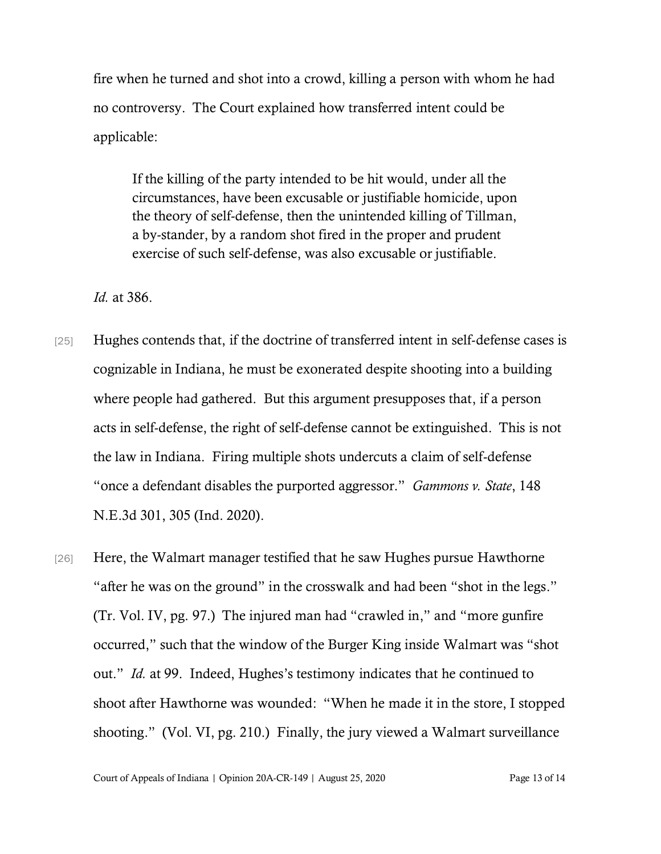fire when he turned and shot into a crowd, killing a person with whom he had no controversy. The Court explained how transferred intent could be applicable:

If the killing of the party intended to be hit would, under all the circumstances, have been excusable or justifiable homicide, upon the theory of self-defense, then the unintended killing of Tillman, a by-stander, by a random shot fired in the proper and prudent exercise of such self-defense, was also excusable or justifiable.

*Id.* at 386.

- [25] Hughes contends that, if the doctrine of transferred intent in self-defense cases is cognizable in Indiana, he must be exonerated despite shooting into a building where people had gathered. But this argument presupposes that, if a person acts in self-defense, the right of self-defense cannot be extinguished. This is not the law in Indiana. Firing multiple shots undercuts a claim of self-defense "once a defendant disables the purported aggressor." *Gammons v. State*, 148 N.E.3d 301, 305 (Ind. 2020).
- [26] Here, the Walmart manager testified that he saw Hughes pursue Hawthorne "after he was on the ground" in the crosswalk and had been "shot in the legs." (Tr. Vol. IV, pg. 97.) The injured man had "crawled in," and "more gunfire occurred," such that the window of the Burger King inside Walmart was "shot out." *Id.* at 99. Indeed, Hughes's testimony indicates that he continued to shoot after Hawthorne was wounded: "When he made it in the store, I stopped shooting." (Vol. VI, pg. 210.) Finally, the jury viewed a Walmart surveillance